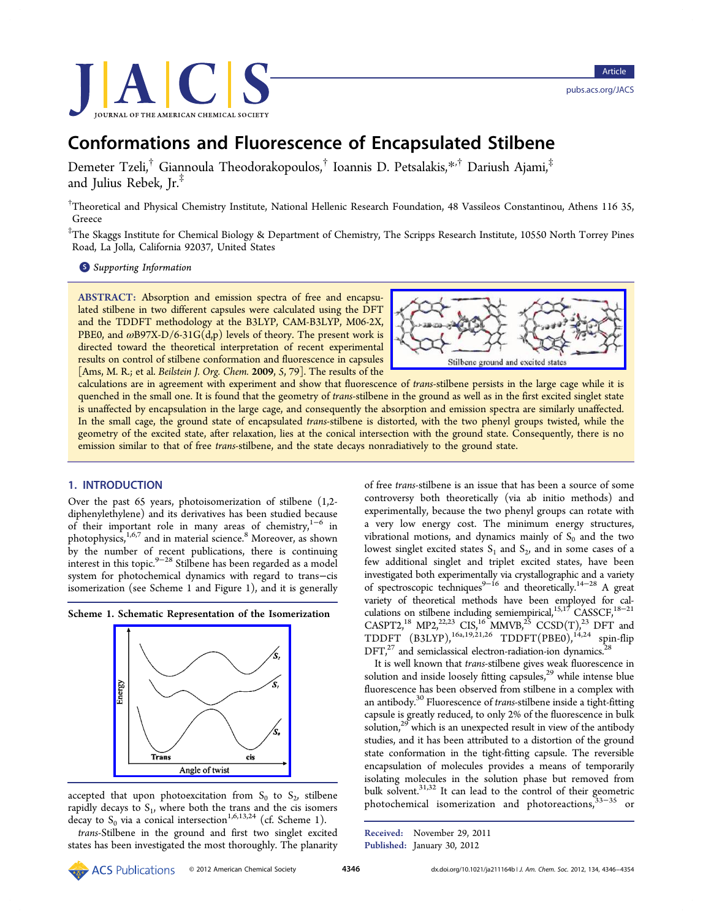<span id="page-0-0"></span>

# Conformations and Fluorescence of Encapsulated Stilbene

Demeter Tzeli,† Giannoula Theodorakopoulos,† Ioannis D. Petsalakis,[\\*](#page-7-0),† Dariush Ajami,‡ and Julius Rebek, Jr.‡

† Theoretical and Physical Chemistry Institute, National Hellenic Research Foundation, 48 Vassileos Constantinou, Athens 116 35, Greece

‡ The Skaggs Institute for Chemical Biology & Department of Chemistry, The Scripps Research Institute, 10550 North Torrey Pines Road, La Jolla, California 92037, United States

**S** [Supporting Information](#page-7-0)

ABSTRACT: Absorption and emission spectra of free and encapsulated stilbene in two different capsules were calculated using the DFT and the TDDFT methodology at the B3LYP, CAM-B3LYP, M06-2X, PBE0, and  $\omega$ B97X-D/6-31G(d,p) levels of theory. The present work is directed toward the theoretical interpretation of recent experimental results on control of stilbene conformation and fluorescence in capsules [Ams, M. R.; et al. Beilstein J. Org. Chem. 2009, 5, 79]. The results of the



calculations are in agreement with experiment and show that fluorescence of trans-stilbene persists in the large cage while it is quenched in the small one. It is found that the geometry of trans-stilbene in the ground as well as in the first excited singlet state is unaffected by encapsulation in the large cage, and consequently the absorption and emission spectra are similarly unaffected. In the small cage, the ground state of encapsulated trans-stilbene is distorted, with the two phenyl groups twisted, while the geometry of the excited state, after relaxation, lies at the conical intersection with the ground state. Consequently, there is no emission similar to that of free trans-stilbene, and the state decays nonradiatively to the ground state.

## 1. INTRODUCTION

Over the past 65 years, photoisomerization of stilbene (1,2 diphenylethylene) and its derivatives has been studied because of their important role in many areas of chemistry,<sup>[1](#page-7-0)-[6](#page-8-0)</sup> in photophysics,<sup>[1,](#page-7-0)[6,7](#page-8-0)</sup> and in material science.<sup>[8](#page-8-0)</sup> Moreover, as shown by the number of recent publications, there is continuing interest in this topic.[9](#page-8-0)−[28](#page-8-0) Stilbene has been regarded as a model system for photochemical dynamics with regard to trans−cis isomerization (see Scheme 1 and Figure [1](#page-1-0)), and it is generally





accepted that upon photoexcitation from  $S_0$  to  $S_2$ , stilbene rapidly decays to  $S<sub>1</sub>$ , where both the trans and the cis isomers decay to  $S_0$  via a conical intersection<sup>[1](#page-7-0)[,6,13,24](#page-8-0)</sup> (cf. Scheme 1).

trans-Stilbene in the ground and first two singlet excited states has been investigated the most thoroughly. The planarity

of free trans-stilbene is an issue that has been a source of some controversy both theoretically (via ab initio methods) and experimentally, because the two phenyl groups can rotate with a very low energy cost. The minimum energy structures, vibrational motions, and dynamics mainly of  $S_0$  and the two lowest singlet excited states  $S_1$  and  $S_2$ , and in some cases of a few additional singlet and triplet excited states, have been investigated both experimentally via crystallographic and a variety of spectroscopic techniques<sup>9-[16](#page-8-0)</sup> and theoretically.<sup>[14](#page-8-0)-[28](#page-8-0)</sup> A great variety of theoretical methods have been employed for cal-culations on stilbene including semiempirical,<sup>[15](#page-8-0),[17](#page-8-0)</sup> CASSCF,<sup>18-[21](#page-8-0)</sup> CASPT2,<sup>18</sup> MP2,<sup>22[,23](#page-8-0)</sup> CIS,<sup>16</sup> MMVB,<sup>25</sup> CCSD(T),<sup>23</sup> DFT and  $TDDFT (B3LYP),<sup>16a,19,21,26</sup> TDDFT(PBE0),<sup>14,24</sup> spin-flip$  $TDDFT (B3LYP),<sup>16a,19,21,26</sup> TDDFT(PBE0),<sup>14,24</sup> spin-flip$  $TDDFT (B3LYP),<sup>16a,19,21,26</sup> TDDFT(PBE0),<sup>14,24</sup> spin-flip$  $TDDFT (B3LYP),<sup>16a,19,21,26</sup> TDDFT(PBE0),<sup>14,24</sup> spin-flip$  $TDDFT (B3LYP),<sup>16a,19,21,26</sup> TDDFT(PBE0),<sup>14,24</sup> spin-flip$  $TDDFT (B3LYP),<sup>16a,19,21,26</sup> TDDFT(PBE0),<sup>14,24</sup> spin-flip$  $TDDFT (B3LYP),<sup>16a,19,21,26</sup> TDDFT(PBE0),<sup>14,24</sup> spin-flip$  $TDDFT (B3LYP),<sup>16a,19,21,26</sup> TDDFT(PBE0),<sup>14,24</sup> spin-flip$  $TDDFT (B3LYP),<sup>16a,19,21,26</sup> TDDFT(PBE0),<sup>14,24</sup> spin-flip$  $DFT<sub>1</sub><sup>27</sup>$  $DFT<sub>1</sub><sup>27</sup>$  $DFT<sub>1</sub><sup>27</sup>$  and semiclassical electron-radiation-ion dynamics.<sup>2</sup>

It is well known that trans-stilbene gives weak fluorescence in solution and inside loosely fitting capsules, $^{29}$  while intense blue fluorescence has been observed from stilbene in a complex with an antibody[.30](#page-8-0) Fluorescence of trans-stilbene inside a tight-fitting capsule is greatly reduced, to only 2% of the fluorescence in bulk solution,<sup>[29](#page-8-0)</sup> which is an unexpected result in view of the antibody studies, and it has been attributed to a distortion of the ground state conformation in the tight-fitting capsule. The reversible encapsulation of molecules provides a means of temporarily isolating molecules in the solution phase but removed from bulk solvent. $31,32$  It can lead to the control of their geometric photochemical isomerization and photoreactions,<sup>[33](#page-8-0)–[35](#page-8-0)</sup> or

Received: November 29, 2011 Published: January 30, 2012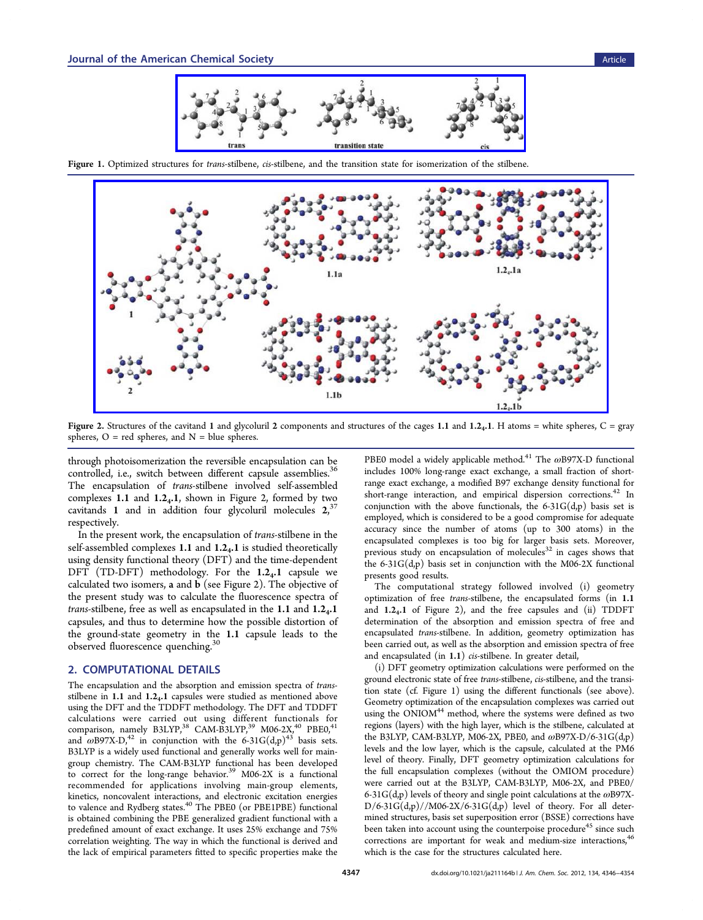

<span id="page-1-0"></span>Figure 1. Optimized structures for trans-stilbene, cis-stilbene, and the transition state for isomerization of the stilbene.



Figure 2. Structures of the cavitand 1 and glycoluril 2 components and structures of the cages 1.1 and 1.24.1. H atoms = white spheres,  $C = \text{gray}$ spheres,  $O = red$  spheres, and  $N = blue$  spheres.

through photoisomerization the reversible encapsulation can be controlled, i.e., switch between different capsule assemblies.<sup>36</sup> The encapsulation of trans-stilbene involved self-assembled complexes 1.1 and  $1.2<sub>4</sub>$ .1, shown in Figure 2, formed by two cavitands 1 and in addition four glycoluril molecules  $2,37$  $2,37$ respectively.

In the present work, the encapsulation of trans-stilbene in the self-assembled complexes 1.1 and  $1.2<sub>4</sub>$ .1 is studied theoretically using density functional theory (DFT) and the time-dependent DFT (TD-DFT) methodology. For the  $1.2<sub>4</sub>$ .1 capsule we calculated two isomers, a and b (see Figure 2). The objective of the present study was to calculate the fluorescence spectra of *trans-stilbene, free as well as encapsulated in the 1.1 and*  $1.2<sub>4</sub>$ *.1* capsules, and thus to determine how the possible distortion of the ground-state geometry in the 1.1 capsule leads to the observed fluorescence quenching.<sup>3</sup>

## 2. COMPUTATIONAL DETAILS

The encapsulation and the absorption and emission spectra of transstilbene in  $1.1$  and  $1.2<sub>4</sub>$ . I capsules were studied as mentioned above using the DFT and the TDDFT methodology. The DFT and TDDFT calculations were carried out using different functionals for<br>comparison, namely B3LYP,<sup>[38](#page-8-0)</sup> CAM-B3LYP,<sup>[39](#page-8-0)</sup> M06-2X,<sup>[40](#page-8-0)</sup> PBE0,<sup>[41](#page-8-0)</sup> and  $\omega$ B97X-D,<sup>[42](#page-8-0)</sup> in conjunction with the 6-31G(d,p)<sup>[43](#page-8-0)</sup> basis sets. B3LYP is a widely used functional and generally works well for maingroup chemistry. The CAM-B3LYP functional has been developed to correct for the long-range behavior.<sup>[39](#page-8-0)</sup> M06-2X is a functional recommended for applications involving main-group elements, kinetics, noncovalent interactions, and electronic excitation energies to valence and Rydberg states.<sup>[40](#page-8-0)</sup> The PBE0 (or PBE1PBE) functional is obtained combining the PBE generalized gradient functional with a predefined amount of exact exchange. It uses 25% exchange and 75% correlation weighting. The way in which the functional is derived and the lack of empirical parameters fitted to specific properties make the

PBE0 model a widely applicable method.<sup>[41](#page-8-0)</sup> The  $\omega$ B97X-D functional includes 100% long-range exact exchange, a small fraction of shortrange exact exchange, a modified B97 exchange density functional for short-range interaction, and empirical dispersion corrections.<sup>[42](#page-8-0)</sup> In conjunction with the above functionals, the  $6-31G(d,p)$  basis set is employed, which is considered to be a good compromise for adequate accuracy since the number of atoms (up to 300 atoms) in the encapsulated complexes is too big for larger basis sets. Moreover, previous study on encapsulation of molecules $32$  in cages shows that the  $6-31G(d,p)$  basis set in conjunction with the M06-2X functional presents good results.

The computational strategy followed involved (i) geometry optimization of free trans-stilbene, the encapsulated forms (in 1.1 and 1.24.1 of Figure 2), and the free capsules and (ii) TDDFT determination of the absorption and emission spectra of free and encapsulated trans-stilbene. In addition, geometry optimization has been carried out, as well as the absorption and emission spectra of free and encapsulated (in 1.1) cis-stilbene. In greater detail,

(i) DFT geometry optimization calculations were performed on the ground electronic state of free trans-stilbene, cis-stilbene, and the transition state (cf. Figure 1) using the different functionals (see above). Geometry optimization of the encapsulation complexes was carried out using the ONIOM<sup>44</sup> method, where the systems were defined as two regions (layers) with the high layer, which is the stilbene, calculated at the B3LYP, CAM-B3LYP, M06-2X, PBE0, and  $\omega$ B97X-D/6-31G(d,p) levels and the low layer, which is the capsule, calculated at the PM6 level of theory. Finally, DFT geometry optimization calculations for the full encapsulation complexes (without the OMIOM procedure) were carried out at the B3LYP, CAM-B3LYP, M06-2X, and PBE0/ 6-31 $G(d,p)$  levels of theory and single point calculations at the  $\omega$ B97X- $D/6-31G(d,p)//M06-2X/6-31G(d,p)$  level of theory. For all determined structures, basis set superposition error (BSSE) corrections have been taken into account using the counterpoise procedure<sup>45</sup> since such corrections are important for weak and medium-size interactions,<sup>4</sup> which is the case for the structures calculated here.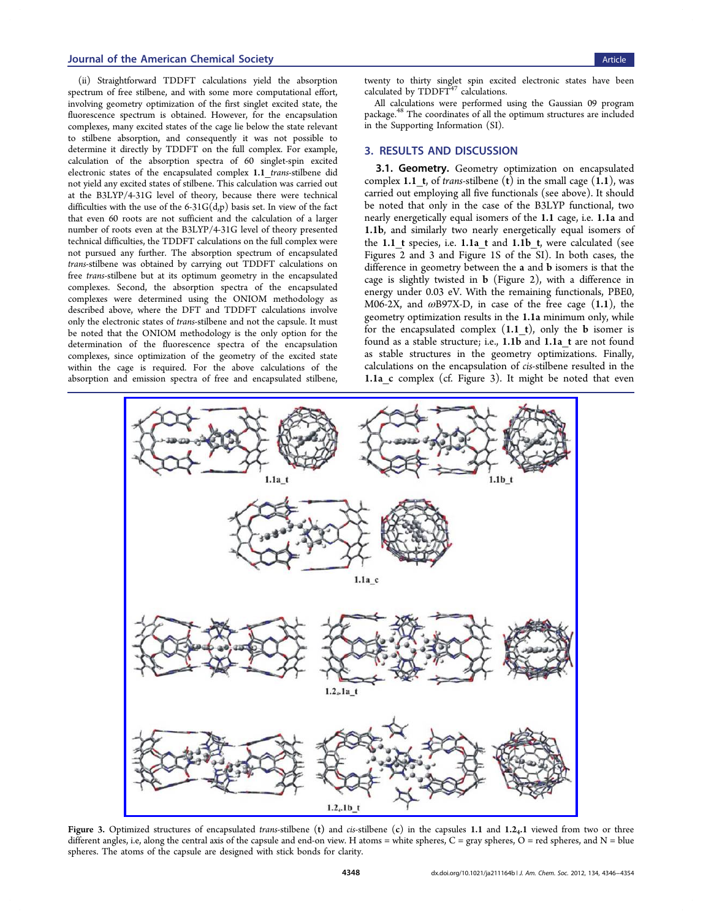#### <span id="page-2-0"></span>**Journal of the American Chemical Society** Article Article Article Article Article Article Article Article Article

(ii) Straightforward TDDFT calculations yield the absorption spectrum of free stilbene, and with some more computational effort, involving geometry optimization of the first singlet excited state, the fluorescence spectrum is obtained. However, for the encapsulation complexes, many excited states of the cage lie below the state relevant to stilbene absorption, and consequently it was not possible to determine it directly by TDDFT on the full complex. For example, calculation of the absorption spectra of 60 singlet-spin excited electronic states of the encapsulated complex 1.1 trans-stilbene did not yield any excited states of stilbene. This calculation was carried out at the B3LYP/4-31G level of theory, because there were technical difficulties with the use of the  $6-31G(d,p)$  basis set. In view of the fact that even 60 roots are not sufficient and the calculation of a larger number of roots even at the B3LYP/4-31G level of theory presented technical difficulties, the TDDFT calculations on the full complex were not pursued any further. The absorption spectrum of encapsulated trans-stilbene was obtained by carrying out TDDFT calculations on free trans-stilbene but at its optimum geometry in the encapsulated complexes. Second, the absorption spectra of the encapsulated complexes were determined using the ONIOM methodology as described above, where the DFT and TDDFT calculations involve only the electronic states of trans-stilbene and not the capsule. It must be noted that the ONIOM methodology is the only option for the determination of the fluorescence spectra of the encapsulation complexes, since optimization of the geometry of the excited state within the cage is required. For the above calculations of the absorption and emission spectra of free and encapsulated stilbene,

twenty to thirty singlet spin excited electronic states have been calculated by TDDFT<sup>[47](#page-8-0)</sup> calculations.

All calculations were performed using the Gaussian 09 program package.[48](#page-8-0) The coordinates of all the optimum structures are included in the [Supporting Information](#page-7-0) (SI).

## 3. RESULTS AND DISCUSSION

3.1. Geometry. Geometry optimization on encapsulated complex 1.1 t, of trans-stilbene (t) in the small cage  $(1.1)$ , was carried out employing all five functionals (see above). It should be noted that only in the case of the B3LYP functional, two nearly energetically equal isomers of the 1.1 cage, i.e. 1.1a and 1.1b, and similarly two nearly energetically equal isomers of the 1.1  $t$  species, i.e. 1.1a  $t$  and 1.1b  $t$ , were calculated (see Figures [2](#page-1-0) and 3 and Figure 1S of the [SI\)](#page-7-0). In both cases, the difference in geometry between the a and b isomers is that the cage is slightly twisted in b (Figure [2](#page-1-0)), with a difference in energy under 0.03 eV. With the remaining functionals, PBE0, M06-2X, and  $\omega$ B97X-D, in case of the free cage (1.1), the geometry optimization results in the 1.1a minimum only, while for the encapsulated complex  $(1.1 \t t)$ , only the **b** isomer is found as a stable structure; i.e., 1.1b and 1.1a\_t are not found as stable structures in the geometry optimizations. Finally, calculations on the encapsulation of cis-stilbene resulted in the 1.1a c complex (cf. Figure 3). It might be noted that even



Figure 3. Optimized structures of encapsulated trans-stilbene (t) and cis-stilbene (c) in the capsules 1.1 and  $1.2<sub>4</sub>$ .1 viewed from two or three different angles, i.e, along the central axis of the capsule and end-on view. H atoms = white spheres,  $C = \text{gray spheres}$ ,  $C = \text{red spheres}$ , and  $N = \text{blue}$ spheres. The atoms of the capsule are designed with stick bonds for clarity.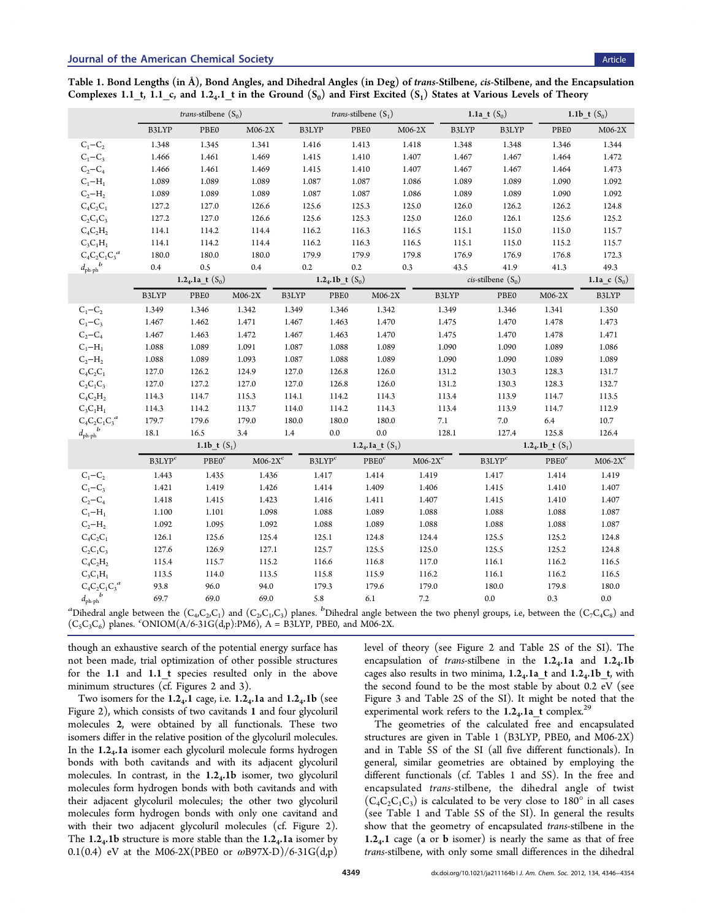<span id="page-3-0"></span>Table 1. Bond Lengths (in Å), Bond Angles, and Dihedral Angles (in Deg) of trans-Stilbene, cis-Stilbene, and the Encapsulation Complexes 1.1\_t, 1.1\_c, and 1.2<sub>4</sub>.1\_t in the Ground  $(S_0)$  and First Excited  $(S_1)$  States at Various Levels of Theory

|                                        | <i>trans-stilbene</i> $(S_0)$  |                   |             |       | <i>trans-stilbene</i> $(S_1)$       |                   |            |       | 1.1a $t(S_0)$                  |                   | 1.1b_t $(S_0)$ |  |
|----------------------------------------|--------------------------------|-------------------|-------------|-------|-------------------------------------|-------------------|------------|-------|--------------------------------|-------------------|----------------|--|
|                                        | B3LYP                          | PBE0              | $M06-2X$    | B3LYP |                                     | PBEO              | $M06-2X$   | B3LYP | B3LYP                          | $\rm{PBE0}$       | $M06-2X$       |  |
| $C_1 - C_2$                            | 1.348                          | 1.345             | 1.341       | 1.416 |                                     | 1.413             | 1.418      | 1.348 | 1.348                          | 1.346             | 1.344          |  |
| $C_1 - C_3$                            | 1.466                          | 1.461             | 1.469       | 1.415 |                                     | 1.410             | 1.407      | 1.467 | 1.467                          | 1.464             | 1.472          |  |
| $C_2-C_4$                              | 1.466                          | 1.461             | 1.469       | 1.415 |                                     | 1.410             | 1.407      | 1.467 | 1.467                          | 1.464             | 1.473          |  |
| $C_1-H_1$                              | 1.089                          | 1.089             | 1.089       | 1.087 |                                     | 1.087             | 1.086      | 1.089 | 1.089                          | 1.090             | 1.092          |  |
| $C_2 - H_2$                            | 1.089                          | 1.089             | 1.089       | 1.087 |                                     | 1.087             | 1.086      | 1.089 | 1.089                          | 1.090             | 1.092          |  |
| $C_4C_2C_1$                            | 127.2                          | 127.0             | 126.6       | 125.6 |                                     | 125.3             | 125.0      | 126.0 | 126.2                          | 126.2             | 124.8          |  |
| $C_2C_1C_3$                            | 127.2                          | 127.0             | 126.6       | 125.6 |                                     | 125.3             | 125.0      | 126.0 | 126.1                          | 125.6             | 125.2          |  |
| $C_4C_2H_2$                            | 114.1                          | 114.2             | 114.4       | 116.2 |                                     | 116.3             | 116.5      | 115.1 | 115.0                          | 115.0             | 115.7          |  |
| $C_3C_1H_1$                            | 114.1                          | 114.2             | 114.4       | 116.2 |                                     | 116.3             | 116.5      | 115.1 | 115.0                          | 115.2             | 115.7          |  |
| $C_4C_2C_1C_3^a$                       | 180.0                          | 180.0             | 180.0       | 179.9 |                                     | 179.9             | 179.8      | 176.9 | 176.9                          | 176.8             | 172.3          |  |
| $d_{\rm ph\text{-}ph}^{\phantom{ph}b}$ | 0.4                            | 0.5               | 0.4         | 0.2   |                                     | 0.2               | 0.3        | 43.5  | 41.9                           | 41.3              | 49.3           |  |
|                                        | 1.2 <sub>4</sub> .1a t $(S_0)$ |                   |             |       | 1.2 <sub>4</sub> .1b_t $(S_0)$      |                   |            |       | <i>cis</i> -stilbene $(S_0)$   |                   | 1.1a c $(S_0)$ |  |
|                                        | B3LYP                          | PBE0              | $M06-2X$    | B3LYP | PBE0                                | $M06-2X$          |            | B3LYP | PBE0                           | $M06-2X$          | B3LYP          |  |
| $C_1 - C_2$                            | 1.349                          | 1.346             | 1.342       | 1.349 | 1.346                               | 1.342             |            | 1.349 | 1.346                          | 1.341             | 1.350          |  |
| $C_1 - C_3$                            | 1.467                          | 1.462             | 1.471       | 1.467 | 1.463                               | 1.470             |            | 1.475 | 1.470                          | 1.478             | 1.473          |  |
| $C_2-C_4$                              | 1.467                          | 1.463             | 1.472       | 1.467 | 1.463                               | 1.470             |            | 1.475 | 1.470                          | 1.478             | 1.471          |  |
| $C_1-H_1$                              | 1.088                          | 1.089             | 1.091       | 1.087 | 1.088                               | 1.089             |            | 1.090 | 1.090                          | 1.089             | 1.086          |  |
| $C_2 - H_2$                            | 1.088                          | 1.089             | 1.093       | 1.087 | 1.088                               | 1.089             |            | 1.090 | 1.090                          | 1.089             | 1.089          |  |
| $C_4C_2C_1$                            | 127.0                          | 126.2             | 124.9       | 127.0 | 126.8                               | 126.0             |            | 131.2 | 130.3                          | 128.3             | 131.7          |  |
| $C_2C_1C_3$                            | 127.0                          | 127.2             | 127.0       | 127.0 | 126.8                               | 126.0             |            | 131.2 | 130.3                          | 128.3             | 132.7          |  |
| $C_4C_2H_2$                            | 114.3                          | 114.7             | 115.3       | 114.1 | 114.2                               | 114.3             |            | 113.4 | 113.9                          | 114.7             | 113.5          |  |
| $C_3C_1H_1$                            | 114.3                          | 114.2             | 113.7       | 114.0 | 114.2                               | 114.3             |            | 113.4 | 113.9                          | 114.7             | 112.9          |  |
| $C_4C_2C_1C_3^a$                       | 179.7                          | 179.6             | 179.0       | 180.0 | 180.0                               | 180.0             |            | 7.1   | $7.0\,$                        | 6.4               | 10.7           |  |
| $d_{\rm ph\text{-}ph}^{\phantom{ph}b}$ | 18.1                           | 16.5              | 3.4         | 1.4   | 0.0                                 | 0.0               |            | 128.1 | 127.4                          | 125.8             | 126.4          |  |
|                                        |                                | 1.1b $t(S_1)$     |             |       | 1.2 <sub>4</sub> .1a t $(S_1)$      |                   |            |       | 1.2 <sub>4</sub> .1b_t $(S_1)$ |                   |                |  |
|                                        | B3LYP <sup>c</sup>             | PBE0 <sup>c</sup> | M06-2 $X^c$ |       | $\ensuremath{{\rm B3LYP}^c}\xspace$ | PBE0 <sup>c</sup> | $M06-2X^c$ |       | $\ensuremath{{\rm B3LYP}}^c$   | PBE0 <sup>c</sup> | $M06-2Xc$      |  |
| $C_1 - C_2$                            | 1.443                          | 1.435             | 1.436       |       | 1.417                               | 1.414             | 1.419      |       | 1.417                          | 1.414             | 1.419          |  |
| $C_1 - C_3$                            | 1.421                          | 1.419             | 1.426       |       | 1.414                               | 1.409             | 1.406      |       | 1.415                          | 1.410             | 1.407          |  |
| $C_2 - C_4$                            | 1.418                          | 1.415             | 1.423       |       | 1.416                               | 1.411             | 1.407      |       | 1.415                          | 1.410             | 1.407          |  |
| $C_1-H_1$                              | 1.100                          | 1.101             | 1.098       |       | 1.088                               | 1.089             | 1.088      |       | 1.088                          | 1.088             | 1.087          |  |
| $C_2 - H_2$                            | 1.092                          | 1.095             | 1.092       |       | 1.088                               | 1.089             | 1.088      |       | 1.088                          | 1.088             | 1.087          |  |
| $C_4C_2C_1$                            | 126.1                          | 125.6             | 125.4       |       | 125.1                               | 124.8             | 124.4      |       | 125.5                          | 125.2             | 124.8          |  |
| $C_2C_1C_3$                            | 127.6                          | 126.9             | 127.1       |       | 125.7                               | 125.5             | 125.0      |       | 125.5                          | 125.2             | 124.8          |  |
| $C_4C_2H_2$                            | 115.4                          | 115.7             | 115.2       |       | 116.6                               | 116.8             | 117.0      |       | 116.1                          | 116.2             | 116.5          |  |
| $C_3C_1H_1$                            | 113.5                          | 114.0             | 113.5       |       | 115.8                               | 115.9             | 116.2      |       | 116.1                          | 116.2             | 116.5          |  |
| $C_4C_2C_1C_3^a$                       | 93.8                           | 96.0              | 94.0        |       | 179.3                               | 179.6             | 179.0      |       | 180.0                          | 179.8             | 180.0          |  |
| $d_{\rm ph\text{-}ph}$                 | 69.7                           | 69.0              | 69.0        |       | 5.8                                 | 6.1               | 7.2        |       | $0.0\,$                        | $0.3\,$           | $0.0\,$        |  |

"Dihedral angle between the  $(C_4C_2C_1)$  and  $(C_2C_1C_3)$  planes. "Dihedral angle between the two phenyl groups, i.e, between the  $(C_7C_4C_8)$  and  $(C_5C_3C_6)$  planes.  $\text{°ONIOM}(A/6-31G(\text{d},p):PM6)$ , A = B3LYP, PBE0, and M06-2X.

though an exhaustive search of the potential energy surface has not been made, trial optimization of other possible structures for the 1.1 and 1.1\_t species resulted only in the above minimum structures (cf. Figures [2](#page-1-0) and [3\)](#page-2-0).

Two isomers for the  $1.2<sub>4</sub>$ .1 cage, i.e.  $1.2<sub>4</sub>$ .1a and  $1.2<sub>4</sub>$ .1b (see Figure [2](#page-1-0)), which consists of two cavitands 1 and four glycoluril molecules 2, were obtained by all functionals. These two isomers differ in the relative position of the glycoluril molecules. In the  $1.2<sub>4</sub>$ . Ia isomer each glycoluril molecule forms hydrogen bonds with both cavitands and with its adjacent glycoluril molecules. In contrast, in the  $1.2<sub>4</sub>$ .1b isomer, two glycoluril molecules form hydrogen bonds with both cavitands and with their adjacent glycoluril molecules; the other two glycoluril molecules form hydrogen bonds with only one cavitand and with their two adjacent glycoluril molecules (cf. Figure [2\)](#page-1-0). The 1.2<sub>4</sub>.1b structure is more stable than the  $1.2<sub>4</sub>$ .1a isomer by 0.1(0.4) eV at the M06-2X(PBE0 or  $\omega$ B97X-D)/6-31G(d,p)

level of theory (see Figure [2](#page-1-0) and Table 2S of the [SI\)](#page-7-0). The encapsulation of trans-stilbene in the  $1.2_4.1a$  and  $1.2_4.1b$ cages also results in two minima,  $1.2<sub>4</sub>$ .1a\_t and  $1.2<sub>4</sub>$ .1b\_t, with the second found to be the most stable by about 0.2 eV (see Figure [3](#page-2-0) and Table 2S of the [SI](#page-7-0)). It might be noted that the experimental work refers to the  $1.2<sub>4</sub>$ . La\_t complex.<sup>29</sup>

The geometries of the calculated free and encapsulated structures are given in Table 1 (B3LYP, PBE0, and M06-2X) and in Table 5S of the [SI](#page-7-0) (all five different functionals). In general, similar geometries are obtained by employing the different functionals (cf. Tables 1 and 5S). In the free and encapsulated trans-stilbene, the dihedral angle of twist  $(C_4C_2C_1C_3)$  is calculated to be very close to 180° in all cases (see Table 1 and Table 5S of the [SI\)](#page-7-0). In general the results show that the geometry of encapsulated trans-stilbene in the 1.2<sub>4</sub>.1 cage (a or b isomer) is nearly the same as that of free trans-stilbene, with only some small differences in the dihedral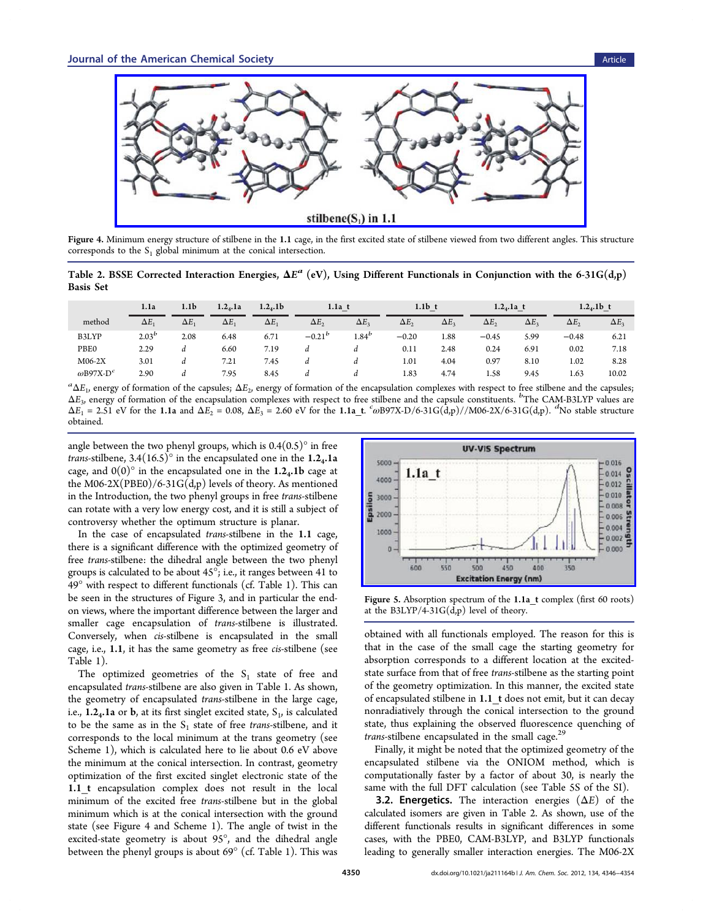<span id="page-4-0"></span>

Figure 4. Minimum energy structure of stilbene in the 1.1 cage, in the first excited state of stilbene viewed from two different angles. This structure corresponds to the  $S_1$  global minimum at the conical intersection.

Table 2. BSSE Corrected Interaction Energies,  $\Delta E^a$  (eV), Using Different Functionals in Conjunction with the 6-31G(d,p) Basis Set

|                              | 1.1a           | 1.1 <sub>b</sub> | $1.2_4.1a$   | $1.2_4.1b$   | $1.1a$ t     |              | $1.1b$ t     |                    | $1.2_4.1a$ t |                | $1.2_4$ .1b t |            |
|------------------------------|----------------|------------------|--------------|--------------|--------------|--------------|--------------|--------------------|--------------|----------------|---------------|------------|
| method                       | $\Delta E$     | $\Delta E$       | $\Delta E_1$ | $\Delta E_1$ | $\Delta E$ , | $\Delta E_2$ | $\Delta E$ , | $\Delta E_{\rm a}$ | $\Delta E$   | $\Delta E_{3}$ | $\Delta E_2$  | $\Delta E$ |
| B3LYP                        | $2.03^{\circ}$ | 2.08             | 6.48         | 6.71         | $-0.21^{b}$  | $1.84^b$     | $-0.20$      | 1.88               | $-0.45$      | 5.99           | $-0.48$       | 6.21       |
| PBE0                         | 2.29           |                  | 6.60         | 7.19         | a            | a            | 0.11         | 2.48               | 0.24         | 6.91           | 0.02          | 7.18       |
| $M06-2X$                     | 3.01           | d                | 7.21         | 7.45         | a            | a            | 1.01         | 4.04               | 0.97         | 8.10           | 1.02          | 8.28       |
| $\omega$ B97X-D <sup>c</sup> | 2.90           | a                | 7.95         | 8.45         | a            | a            | 1.83         | 4.74               | 1.58         | 9.45           | 1.63          | 10.02      |

 ${}^a\Delta E_1$ , energy of formation of the capsules;  $\Delta E_2$ , energy of formation of the encapsulation complexes with respect to free stilbene and the capsules;  $\Delta E_3$ , energy of formation of the encapsulation complexes with respect to free stilbene and the capsule constituents.  $b^b$ The CAM-B3LYP values are  $ΔE_1 = 2.51$  eV for the 1.1a and  $ΔE_2 = 0.08$ ,  $ΔE_3 = 2.60$  eV for the 1.1a\_t.  $\alpha$ B97X-D/6-31G(d,p)//M06-2X/6-31G(d,p). <sup>d</sup>No stable structure obtained.

angle between the two phenyl groups, which is  $0.4(0.5)^\circ$  in free trans-stilbene,  $3.4(16.5)$ <sup>o</sup> in the encapsulated one in the 1.2<sub>4</sub>.1a cage, and  $0(0)$ <sup>o</sup> in the encapsulated one in the 1.2<sub>4</sub>.1b cage at the M06-2X(PBE0)/6-31G(d,p) levels of theory. As mentioned in the [Introduction,](#page-0-0) the two phenyl groups in free trans-stilbene can rotate with a very low energy cost, and it is still a subject of controversy whether the optimum structure is planar.

In the case of encapsulated trans-stilbene in the 1.1 cage, there is a significant difference with the optimized geometry of free trans-stilbene: the dihedral angle between the two phenyl groups is calculated to be about 45°; i.e., it ranges between 41 to 49° with respect to different functionals (cf. Table [1\)](#page-3-0). This can be seen in the structures of Figure [3,](#page-2-0) and in particular the endon views, where the important difference between the larger and smaller cage encapsulation of trans-stilbene is illustrated. Conversely, when cis-stilbene is encapsulated in the small cage, i.e., 1.1, it has the same geometry as free cis-stilbene (see Table [1\)](#page-3-0).

The optimized geometries of the  $S_1$  state of free and encapsulated trans-stilbene are also given in Table [1](#page-3-0). As shown, the geometry of encapsulated trans-stilbene in the large cage, i.e.,  $1.2<sub>4</sub>$ .1a or b, at its first singlet excited state,  $S<sub>1</sub>$ , is calculated to be the same as in the  $S_1$  state of free trans-stilbene, and it corresponds to the local minimum at the trans geometry (see Scheme [1\)](#page-0-0), which is calculated here to lie about 0.6 eV above the minimum at the conical intersection. In contrast, geometry optimization of the first excited singlet electronic state of the 1.1 t encapsulation complex does not result in the local minimum of the excited free trans-stilbene but in the global minimum which is at the conical intersection with the ground state (see Figure 4 and Scheme [1\)](#page-0-0). The angle of twist in the excited-state geometry is about 95°, and the dihedral angle between the phenyl groups is about  $69^{\circ}$  (cf. Table [1](#page-3-0)). This was



Figure 5. Absorption spectrum of the 1.1a<sub>t</sub> complex (first 60 roots) at the B3LYP/4-31G $(d,p)$  level of theory.

obtained with all functionals employed. The reason for this is that in the case of the small cage the starting geometry for absorption corresponds to a different location at the excitedstate surface from that of free trans-stilbene as the starting point of the geometry optimization. In this manner, the excited state of encapsulated stilbene in 1.1\_t does not emit, but it can decay nonradiatively through the conical intersection to the ground state, thus explaining the observed fluorescence quenching of *trans*-stilbene encapsulated in the small cage.<sup>[29](#page-8-0)</sup>

Finally, it might be noted that the optimized geometry of the encapsulated stilbene via the ONIOM method, which is computationally faster by a factor of about 30, is nearly the same with the full DFT calculation (see Table 5S of the [SI\)](#page-7-0).

**3.2. Energetics.** The interaction energies  $(\Delta E)$  of the calculated isomers are given in Table 2. As shown, use of the different functionals results in significant differences in some cases, with the PBE0, CAM-B3LYP, and B3LYP functionals leading to generally smaller interaction energies. The M06-2X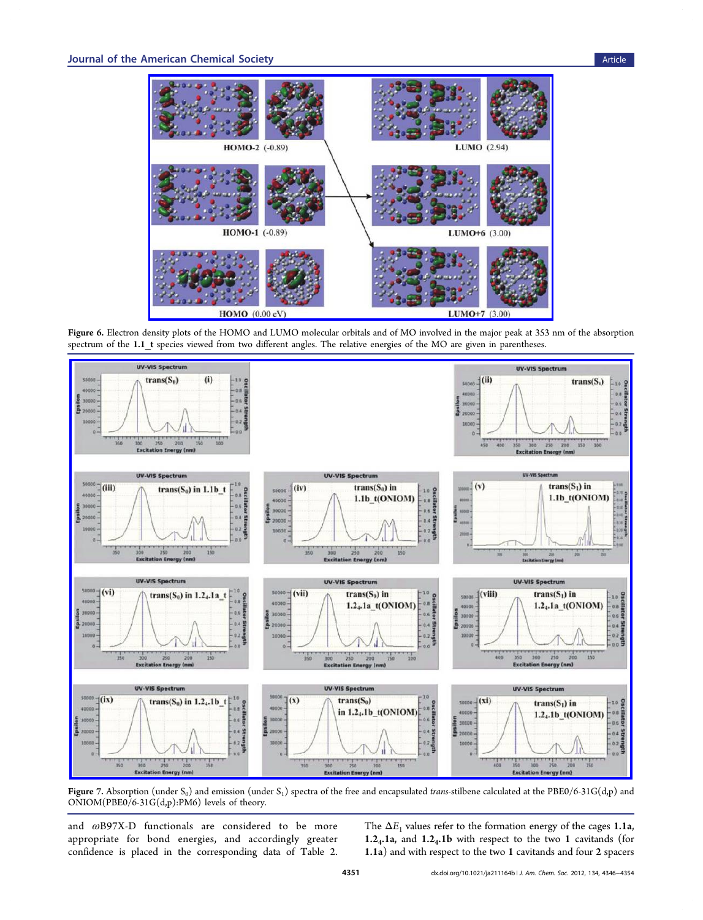<span id="page-5-0"></span>

Figure 6. Electron density plots of the HOMO and LUMO molecular orbitals and of MO involved in the major peak at 353 nm of the absorption spectrum of the 1.1 t species viewed from two different angles. The relative energies of the MO are given in parentheses.



Figure 7. Absorption (under S<sub>0</sub>) and emission (under S<sub>1</sub>) spectra of the free and encapsulated trans-stilbene calculated at the PBE0/6-31G(d,p) and ONIOM(PBE0/6-31G(d,p):PM6) levels of theory.

and ωB97X-D functionals are considered to be more appropriate for bond energies, and accordingly greater confidence is placed in the corresponding data of Table [2](#page-4-0).

The  $\Delta E_1$  values refer to the formation energy of the cages 1.1a, 1.24.1a, and 1.24.1b with respect to the two 1 cavitands (for 1.1a) and with respect to the two 1 cavitands and four 2 spacers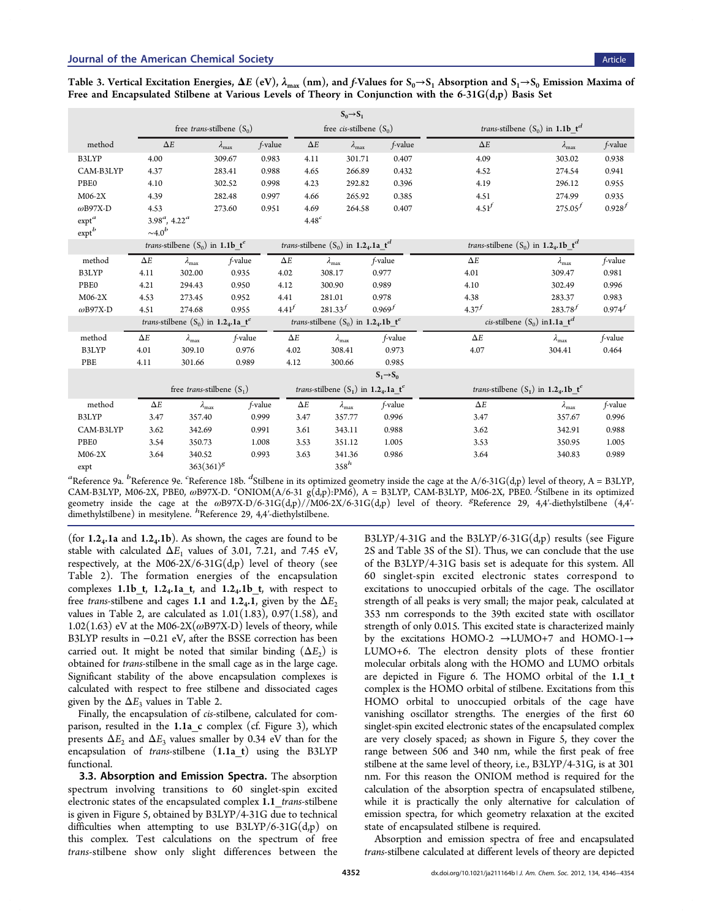| $S_0 \rightarrow S_1$ |                                     |                                                                      |                        |            |                        |                                                                       |                       |                                                                      |                        |             |  |
|-----------------------|-------------------------------------|----------------------------------------------------------------------|------------------------|------------|------------------------|-----------------------------------------------------------------------|-----------------------|----------------------------------------------------------------------|------------------------|-------------|--|
|                       | free <i>trans</i> -stilbene $(S_0)$ |                                                                      |                        |            |                        | free <i>cis</i> -stilbene $(S_0)$                                     |                       | <i>trans-stilbene</i> $(S_0)$ in 1.1b $t^d$                          |                        |             |  |
| method                | $\Delta E$                          |                                                                      | $\lambda_{\text{max}}$ | f-value    | $\Delta E$             | $\lambda_{\text{max}}$                                                | f-value               | $\Delta E$                                                           | $\lambda_{\text{max}}$ | f-value     |  |
| B3LYP                 | 4.00                                |                                                                      | 309.67                 | 0.983      | 4.11                   | 301.71                                                                | 0.407                 | 4.09                                                                 | 303.02                 | 0.938       |  |
| CAM-B3LYP             | 4.37                                |                                                                      | 283.41                 | 0.988      | 4.65                   | 266.89                                                                | 0.432                 | 4.52                                                                 | 274.54                 | 0.941       |  |
| PBE0                  | 4.10                                |                                                                      | 302.52                 | 0.998      | 4.23                   | 292.82                                                                | 0.396                 | 4.19                                                                 | 296.12                 | 0.955       |  |
| M06-2X                | 4.39                                |                                                                      | 282.48                 | 0.997      | 4.66                   | 265.92                                                                | 0.385                 | 4.51                                                                 | 274.99                 | 0.935       |  |
| $\omega$ B97X-D       | 4.53                                |                                                                      | 273.60                 | 0.951      | 4.69                   | 264.58                                                                | 0.407                 | 4.51 <sup>f</sup>                                                    | $275.05^{f}$           | $0.928^{f}$ |  |
| $ext{erf}^a$          | $3.98^a$ , $4.22^a$                 |                                                                      |                        |            | 4.48 <sup>c</sup>      |                                                                       |                       |                                                                      |                        |             |  |
| $exp t^b$             | $\sim 4.0^b$                        |                                                                      |                        |            |                        |                                                                       |                       |                                                                      |                        |             |  |
|                       |                                     | <i>trans-stilbene</i> $(S_0)$ in 1.1b $t^e$                          |                        |            |                        | <i>trans</i> -stilbene $(S_0)$ in 1.2 <sub>4</sub> .1a_t <sup>d</sup> |                       | <i>trans-stilbene</i> $(S_0)$ in 1.2 <sub>4</sub> .1b_t <sup>d</sup> |                        |             |  |
| method                | $\Delta E$                          | $\lambda_{\text{max}}$                                               | f-value                | $\Delta E$ | $\lambda_{\text{max}}$ |                                                                       | f-value               | $\Delta E$                                                           | $\lambda_{\text{max}}$ | f-value     |  |
| B3LYP                 | 4.11                                | 302.00                                                               | 0.935                  | 4.02       | 308.17                 |                                                                       | 0.977                 | 4.01                                                                 | 309.47                 | 0.981       |  |
| <b>PBE0</b>           | 4.21                                | 294.43                                                               | 0.950                  | 4.12       | 300.90                 |                                                                       | 0.989                 | 4.10                                                                 | 302.49                 | 0.996       |  |
| M06-2X                | 4.53                                | 273.45                                                               | 0.952                  | 4.41       | 281.01                 |                                                                       | 0.978                 | 4.38                                                                 | 283.37                 | 0.983       |  |
| $\omega$ B97X-D       | 4.51                                | 274.68                                                               | 0.955                  | $4.41^{f}$ | $281.33^{f}$           |                                                                       | $0.969^{f}$           | $4.37^{f}$                                                           | $283.78^{f}$           | $0.974^{f}$ |  |
|                       |                                     | <i>trans-stilbene</i> $(S_0)$ in 1.2 <sub>4</sub> .1a_t <sup>e</sup> |                        |            |                        | <i>trans</i> -stilbene $(S_0)$ in 1.2 <sub>4</sub> .1b_t <sup>e</sup> |                       | <i>cis</i> -stilbene $(S_0)$ in 1.1a_t <sup>d</sup>                  |                        |             |  |
| method                | $\Delta E$                          | $\lambda_{\text{max}}$                                               | f-value                | $\Delta E$ |                        | $\lambda_{\text{max}}$                                                | f-value               | $\Delta E$                                                           | $\lambda_{\text{max}}$ | f-value     |  |
| B3LYP                 | 4.01                                | 309.10                                                               | 0.976                  | 4.02       |                        | 308.41                                                                | 0.973                 | 4.07                                                                 | 304.41                 | 0.464       |  |
| PBE                   | 4.11                                | 301.66                                                               | 0.989                  | 4.12       |                        | 300.66                                                                | 0.985                 |                                                                      |                        |             |  |
|                       |                                     |                                                                      |                        |            |                        |                                                                       | $S_1 \rightarrow S_0$ |                                                                      |                        |             |  |
|                       |                                     | free <i>trans</i> -stilbene $(S_1)$                                  |                        |            |                        | <i>trans-stilbene</i> $(S_1)$ in 1.2.41 t <sup>e</sup>                |                       | <i>trans-stilbene</i> $(S_1)$ in 1.2.4.1b $t^e$                      |                        |             |  |
| method                | $\Delta E$                          | $\lambda_{\text{max}}$                                               |                        | f-value    | $\Delta E$             | $\lambda_{\text{max}}$                                                | f-value               | $\Delta E$                                                           | $\lambda_{\rm max}$    | f-value     |  |
| B3LYP                 | 3.47                                | 357.40                                                               |                        | 0.999      | 3.47                   | 357.77                                                                | 0.996                 | 3.47                                                                 | 357.67                 | 0.996       |  |
| CAM-B3LYP             | 3.62                                | 342.69                                                               |                        | 0.991      | 3.61                   | 343.11                                                                | 0.988                 | 3.62                                                                 | 342.91                 | 0.988       |  |
| PBE0                  | 3.54                                | 350.73                                                               |                        | 1.008      | 3.53                   | 351.12                                                                | 1.005                 | 3.53                                                                 | 350.95                 | 1.005       |  |
| $M06-2X$              | 3.64                                | 340.52                                                               |                        | 0.993      | 3.63                   | 341.36                                                                | 0.986                 | 3.64                                                                 | 340.83                 | 0.989       |  |
| expt                  |                                     | $363(361)^{g}$                                                       |                        |            |                        | $358^h$                                                               |                       |                                                                      |                        |             |  |

<span id="page-6-0"></span>Free and Encapsulated Stilbene at Various Levels of Theory in Conjunction with the  $6-31G(d,p)$  Basis Set

<sup>a</sup>Reference [9a](#page-8-0). <sup>b</sup>Reference [9e.](#page-8-0) <sup>c</sup>Reference [18b.](#page-8-0) <sup>d</sup>Stilbene in its optimized geometry inside the cage at the A/6-31G(d,p) level of theory, A = B3LYP, CAM-B3LYP, M06-2X, PBE0, ωB97X-D. CNIOM(A/6-31 g(d,p):PM6), A = B3LYP, CAM-B3LYP, M06-2X, PBE0. <sup>f</sup>Stilbene in its optimized geometry inside the cage at the ωB97X-D/6-31G(d,p)//M06-2X/6-31G(d,p) level of theory. <sup>g</sup>Reference [29](#page-8-0), 4,4'-diethylstilbene (4,4'-<br>dimethylstilbene) in mesitylene. <sup>*h*</sup>Reference 29, 4,4'-diethylstilbene.

(for  $1.2<sub>4</sub>$ .1a and  $1.2<sub>4</sub>$ .1b). As shown, the cages are found to be stable with calculated  $\Delta E_1$  values of 3.01, 7.21, and 7.45 eV, respectively, at the M06-2X/6-31G(d,p) level of theory (see Table [2](#page-4-0)). The formation energies of the encapsulation complexes  $1.1b_t$ ,  $1.24.1a_t$ , and  $1.24.1b_t$ , with respect to free trans-stilbene and cages 1.1 and 1.2<sub>4</sub>.1, given by the  $\Delta E_2$ values in Table [2](#page-4-0), are calculated as  $1.01(1.83)$ ,  $0.97(1.58)$ , and  $1.02(1.63)$  eV at the M06-2X( $\omega$ B97X-D) levels of theory, while B3LYP results in −0.21 eV, after the BSSE correction has been carried out. It might be noted that similar binding  $(\Delta E_2)$  is obtained for trans-stilbene in the small cage as in the large cage. Significant stability of the above encapsulation complexes is calculated with respect to free stilbene and dissociated cages given by the  $\Delta E_3$  values in Table [2.](#page-4-0)

Finally, the encapsulation of cis-stilbene, calculated for com-parison, resulted in the 1.1a c complex (cf. Figure [3](#page-2-0)), which presents  $\Delta E_2$  and  $\Delta E_3$  values smaller by 0.34 eV than for the encapsulation of *trans*-stilbene  $(1.1a_t)$  using the B3LYP functional.

3.3. Absorption and Emission Spectra. The absorption spectrum involving transitions to 60 singlet-spin excited electronic states of the encapsulated complex 1.1\_trans-stilbene is given in Figure [5,](#page-4-0) obtained by B3LYP/4-31G due to technical difficulties when attempting to use  $B3LYP/6-31G(d,p)$  on this complex. Test calculations on the spectrum of free trans-stilbene show only slight differences between the

B3LYP/4-31G and the B3LYP/6-31G(d,p) results (see Figure 2S and Table 3S of the [SI](#page-7-0)). Thus, we can conclude that the use of the B3LYP/4-31G basis set is adequate for this system. All 60 singlet-spin excited electronic states correspond to excitations to unoccupied orbitals of the cage. The oscillator strength of all peaks is very small; the major peak, calculated at 353 nm corresponds to the 39th excited state with oscillator strength of only 0.015. This excited state is characterized mainly by the excitations HOMO-2 →LUMO+7 and HOMO-1→ LUMO+6. The electron density plots of these frontier molecular orbitals along with the HOMO and LUMO orbitals are depicted in Figure [6](#page-5-0). The HOMO orbital of the 1.1 t complex is the HOMO orbital of stilbene. Excitations from this HOMO orbital to unoccupied orbitals of the cage have vanishing oscillator strengths. The energies of the first 60 singlet-spin excited electronic states of the encapsulated complex are very closely spaced; as shown in Figure [5,](#page-4-0) they cover the range between 506 and 340 nm, while the first peak of free stilbene at the same level of theory, i.e., B3LYP/4-31G, is at 301 nm. For this reason the ONIOM method is required for the calculation of the absorption spectra of encapsulated stilbene, while it is practically the only alternative for calculation of emission spectra, for which geometry relaxation at the excited state of encapsulated stilbene is required.

Absorption and emission spectra of free and encapsulated trans-stilbene calculated at different levels of theory are depicted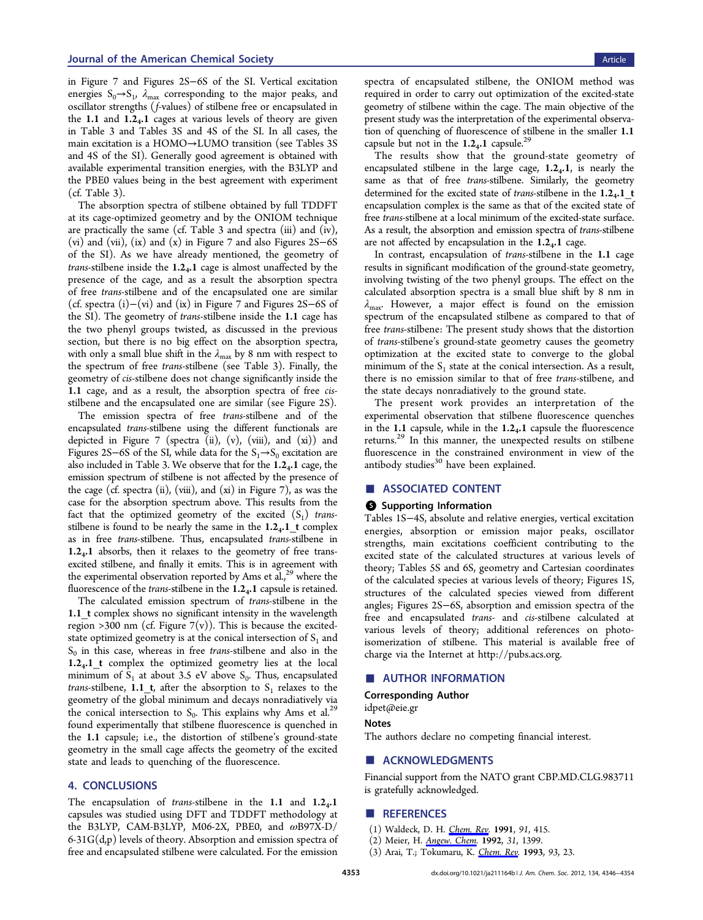<span id="page-7-0"></span>in Figure [7](#page-5-0) and Figures 2S−6S of the SI. Vertical excitation energies  $S_0 \rightarrow S_1$ ,  $\lambda_{\text{max}}$  corresponding to the major peaks, and oscillator strengths (f-values) of stilbene free or encapsulated in the 1.1 and  $1.2<sub>4</sub>$ . L cages at various levels of theory are given in Table [3](#page-6-0) and Tables 3S and 4S of the SI. In all cases, the main excitation is a HOMO→LUMO transition (see Tables 3S and 4S of the SI). Generally good agreement is obtained with available experimental transition energies, with the B3LYP and the PBE0 values being in the best agreement with experiment (cf. Table [3](#page-6-0)).

The absorption spectra of stilbene obtained by full TDDFT at its cage-optimized geometry and by the ONIOM technique are practically the same (cf. Table [3](#page-6-0) and spectra (iii) and (iv), (vi) and (vii), (ix) and (x) in Figure [7](#page-5-0) and also Figures 2S−6S of the SI). As we have already mentioned, the geometry of *trans*-stilbene inside the  $1.2<sub>4</sub>$ . age is almost unaffected by the presence of the cage, and as a result the absorption spectra of free trans-stilbene and of the encapsulated one are similar (cf. spectra (i)−(vi) and (ix) in Figure [7](#page-5-0) and Figures 2S−6S of the SI). The geometry of trans-stilbene inside the 1.1 cage has the two phenyl groups twisted, as discussed in the previous section, but there is no big effect on the absorption spectra, with only a small blue shift in the  $\lambda_{\text{max}}$  by 8 nm with respect to the spectrum of free trans-stilbene (see Table [3\)](#page-6-0). Finally, the geometry of cis-stilbene does not change significantly inside the 1.1 cage, and as a result, the absorption spectra of free cisstilbene and the encapsulated one are similar (see Figure 2S).

The emission spectra of free trans-stilbene and of the encapsulated trans-stilbene using the different functionals are depicted in Figure [7](#page-5-0) (spectra (ii),  $(v)$ ,  $(vii)$ , and  $(xi)$ ) and Figures 2S–6S of the SI, while data for the  $S_1 \rightarrow S_0$  excitation are also included in Table [3](#page-6-0). We observe that for the  $1.2<sub>4</sub>$ . L cage, the emission spectrum of stilbene is not affected by the presence of the cage (cf. spectra (ii), (viii), and (xi) in Figure [7](#page-5-0)), as was the case for the absorption spectrum above. This results from the fact that the optimized geometry of the excited  $(S_1)$  transstilbene is found to be nearly the same in the  $1.2<sub>4</sub>$ . 1 t complex as in free trans-stilbene. Thus, encapsulated trans-stilbene in  $1.2<sub>4</sub>$ . 1 absorbs, then it relaxes to the geometry of free transexcited stilbene, and finally it emits. This is in agreement with the experimental observation reported by Ams et al., $^{29}$  where the fluorescence of the *trans*-stilbene in the  $1.2<sub>4</sub>.1$  capsule is retained.

The calculated emission spectrum of trans-stilbene in the 1.1 t complex shows no significant intensity in the wavelength region >300 nm (cf. Figure  $7(v)$ ). This is because the excitedstate optimized geometry is at the conical intersection of  $S<sub>1</sub>$  and  $S_0$  in this case, whereas in free *trans*-stilbene and also in the 1.24.1\_t complex the optimized geometry lies at the local minimum of  $S_1$  at about 3.5 eV above  $S_0$ . Thus, encapsulated *trans*-stilbene, 1.1\_t, after the absorption to  $S_1$  relaxes to the geometry of the global minimum and decays nonradiatively via the conical intersection to  $S_0$ . This explains why Ams et al.<sup>[29](#page-8-0)</sup> found experimentally that stilbene fluorescence is quenched in the 1.1 capsule; i.e., the distortion of stilbene's ground-state geometry in the small cage affects the geometry of the excited state and leads to quenching of the fluorescence.

## 4. CONCLUSIONS

The encapsulation of *trans*-stilbene in the 1.1 and  $1.2<sub>4</sub>$ .1 capsules was studied using DFT and TDDFT methodology at the B3LYP, CAM-B3LYP, M06-2X, PBE0, and ωB97X-D/  $6-31G(d,p)$  levels of theory. Absorption and emission spectra of free and encapsulated stilbene were calculated. For the emission

spectra of encapsulated stilbene, the ONIOM method was required in order to carry out optimization of the excited-state geometry of stilbene within the cage. The main objective of the present study was the interpretation of the experimental observation of quenching of fluorescence of stilbene in the smaller 1.1 capsule but not in the  $1.2<sub>4</sub>$ . Capsule.<sup>29</sup>

The results show that the ground-state geometry of encapsulated stilbene in the large cage,  $1.2<sub>4</sub>$ .1, is nearly the same as that of free trans-stilbene. Similarly, the geometry determined for the excited state of trans-stilbene in the  $1.2_4.1$  t encapsulation complex is the same as that of the excited state of free trans-stilbene at a local minimum of the excited-state surface. As a result, the absorption and emission spectra of trans-stilbene are not affected by encapsulation in the  $1.2<sub>4</sub>$ . age.

In contrast, encapsulation of trans-stilbene in the 1.1 cage results in significant modification of the ground-state geometry, involving twisting of the two phenyl groups. The effect on the calculated absorption spectra is a small blue shift by 8 nm in  $\lambda_{\text{max}}$ . However, a major effect is found on the emission spectrum of the encapsulated stilbene as compared to that of free trans-stilbene: The present study shows that the distortion of trans-stilbene's ground-state geometry causes the geometry optimization at the excited state to converge to the global minimum of the  $S_1$  state at the conical intersection. As a result, there is no emission similar to that of free trans-stilbene, and the state decays nonradiatively to the ground state.

The present work provides an interpretation of the experimental observation that stilbene fluorescence quenches in the 1.1 capsule, while in the  $1.2<sub>4</sub>$ .1 capsule the fluorescence returns.<sup>[29](#page-8-0)</sup> In this manner, the unexpected results on stilbene fluorescence in the constrained environment in view of the antibody studies<sup>[30](#page-8-0)</sup> have been explained.

### ■ ASSOCIATED CONTENT

#### **6** Supporting Information

Tables 1S−4S, absolute and relative energies, vertical excitation energies, absorption or emission major peaks, oscillator strengths, main excitations coefficient contributing to the excited state of the calculated structures at various levels of theory; Tables 5S and 6S, geometry and Cartesian coordinates of the calculated species at various levels of theory; Figures 1S, structures of the calculated species viewed from different angles; Figures 2S−6S, absorption and emission spectra of the free and encapsulated trans- and cis-stilbene calculated at various levels of theory; additional references on photoisomerization of stilbene. This material is available free of charge via the Internet at<http://pubs.acs.org>.

## ■ AUTHOR INFORMATION

Corresponding Author

## [idpet@eie.gr](mailto:idpet@eie.gr)

Notes

The authors declare no competing financial interest.

#### ■ ACKNOWLEDGMENTS

Financial support from the NATO grant CBP.MD.CLG.983711 is gratefully acknowledged.

#### ■ REFERENCES

- (1) Waldeck, D. H. Chem. Rev. 1991, 91, 415.
- (2) Meier, H. *Angew. Chem.* 1992, 31, 1399.
- (3) Arai, T.; Tokumaru, K. Chem. Rev. 1993, 93, 23.